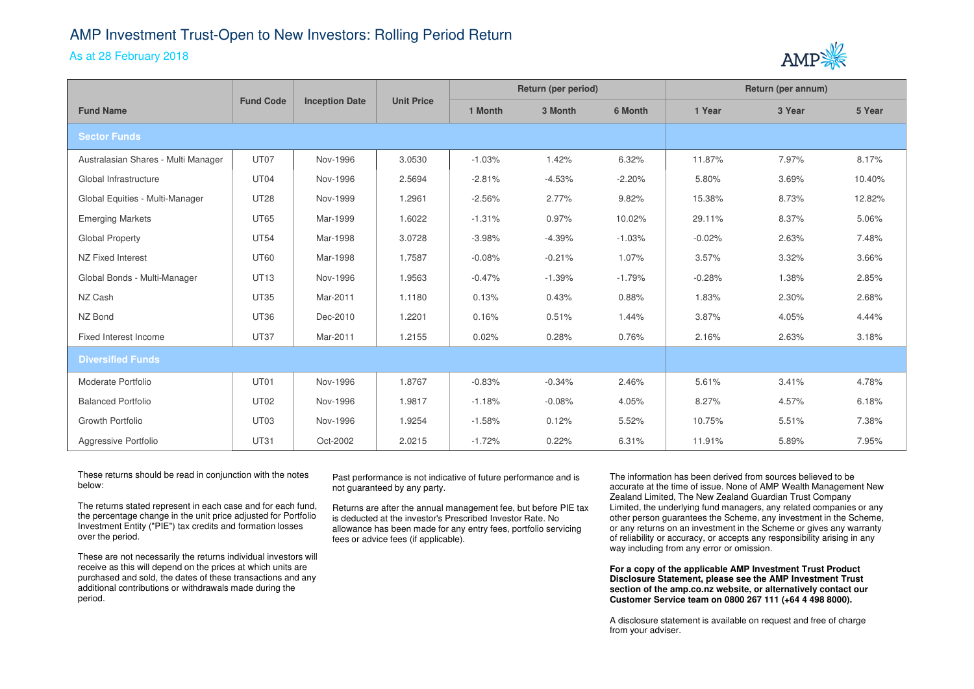## AMP Investment Trust-Open to New Investors: Rolling Period Return

## As at 28 February 2018



|                                     | <b>Fund Code</b> | <b>Inception Date</b> | <b>Unit Price</b> | Return (per period) |          |          | Return (per annum) |        |        |
|-------------------------------------|------------------|-----------------------|-------------------|---------------------|----------|----------|--------------------|--------|--------|
| <b>Fund Name</b>                    |                  |                       |                   | 1 Month             | 3 Month  | 6 Month  | 1 Year             | 3 Year | 5 Year |
| <b>Sector Funds</b>                 |                  |                       |                   |                     |          |          |                    |        |        |
| Australasian Shares - Multi Manager | UT07             | Nov-1996              | 3.0530            | $-1.03%$            | 1.42%    | 6.32%    | 11.87%             | 7.97%  | 8.17%  |
| Global Infrastructure               | UT04             | Nov-1996              | 2.5694            | $-2.81%$            | $-4.53%$ | $-2.20%$ | 5.80%              | 3.69%  | 10.40% |
| Global Equities - Multi-Manager     | <b>UT28</b>      | Nov-1999              | 1.2961            | $-2.56%$            | 2.77%    | 9.82%    | 15.38%             | 8.73%  | 12.82% |
| <b>Emerging Markets</b>             | <b>UT65</b>      | Mar-1999              | 1.6022            | $-1.31%$            | 0.97%    | 10.02%   | 29.11%             | 8.37%  | 5.06%  |
| Global Property                     | <b>UT54</b>      | Mar-1998              | 3.0728            | $-3.98%$            | $-4.39%$ | $-1.03%$ | $-0.02%$           | 2.63%  | 7.48%  |
| NZ Fixed Interest                   | <b>UT60</b>      | Mar-1998              | 1.7587            | $-0.08%$            | $-0.21%$ | 1.07%    | 3.57%              | 3.32%  | 3.66%  |
| Global Bonds - Multi-Manager        | <b>UT13</b>      | Nov-1996              | 1.9563            | $-0.47\%$           | $-1.39%$ | $-1.79%$ | $-0.28%$           | 1.38%  | 2.85%  |
| NZ Cash                             | <b>UT35</b>      | Mar-2011              | 1.1180            | 0.13%               | 0.43%    | 0.88%    | 1.83%              | 2.30%  | 2.68%  |
| NZ Bond                             | <b>UT36</b>      | Dec-2010              | 1.2201            | 0.16%               | 0.51%    | 1.44%    | 3.87%              | 4.05%  | 4.44%  |
| Fixed Interest Income               | <b>UT37</b>      | Mar-2011              | 1.2155            | 0.02%               | 0.28%    | 0.76%    | 2.16%              | 2.63%  | 3.18%  |
| <b>Diversified Funds</b>            |                  |                       |                   |                     |          |          |                    |        |        |
| Moderate Portfolio                  | UT01             | Nov-1996              | 1.8767            | $-0.83%$            | $-0.34%$ | 2.46%    | 5.61%              | 3.41%  | 4.78%  |
| <b>Balanced Portfolio</b>           | <b>UT02</b>      | Nov-1996              | 1.9817            | $-1.18%$            | $-0.08%$ | 4.05%    | 8.27%              | 4.57%  | 6.18%  |
| Growth Portfolio                    | UT <sub>03</sub> | Nov-1996              | 1.9254            | $-1.58%$            | 0.12%    | 5.52%    | 10.75%             | 5.51%  | 7.38%  |
| Aggressive Portfolio                | <b>UT31</b>      | Oct-2002              | 2.0215            | $-1.72%$            | 0.22%    | 6.31%    | 11.91%             | 5.89%  | 7.95%  |

These returns should be read in conjunction with the notes below:

The returns stated represent in each case and for each fund, the percentage change in the unit price adjusted for Portfolio Investment Entity ("PIE") tax credits and formation losses over the period.

These are not necessarily the returns individual investors will receive as this will depend on the prices at which units are purchased and sold, the dates of these transactions and anyadditional contributions or withdrawals made during the period.

Past performance is not indicative of future performance and is not guaranteed by any party.

Returns are after the annual management fee, but before PIE tax is deducted at the investor's Prescribed Investor Rate. No allowance has been made for any entry fees, portfolio servicing fees or advice fees (if applicable).

The information has been derived from sources believed to be accurate at the time of issue. None of AMP Wealth Management New Zealand Limited, The New Zealand Guardian Trust Company Limited, the underlying fund managers, any related companies or any other person guarantees the Scheme, any investment in the Scheme, or any returns on an investment in the Scheme or gives any warranty of reliability or accuracy, or accepts any responsibility arising in any way including from any error or omission.

**For a copy of the applicable AMP Investment Trust Product Disclosure Statement, please see the AMP Investment Trust section of the amp.co.nz website, or alternatively contact our Customer Service team on 0800 267 111 (+64 4 498 8000).**

A disclosure statement is available on request and free of charge from your adviser.